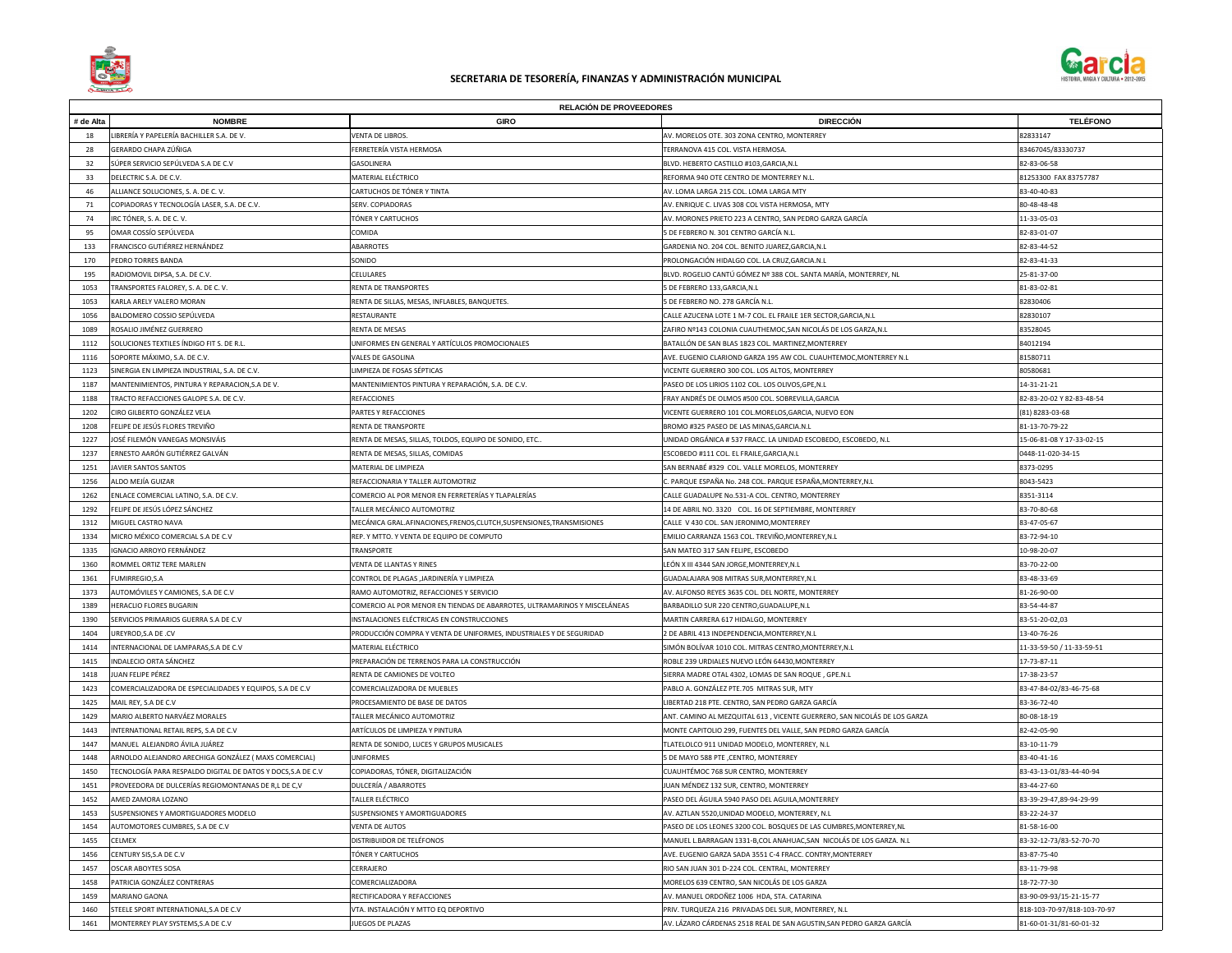|           |                                                              | <b>RELACION DE PROVEEDORES</b>                                            |                                                                          |                             |
|-----------|--------------------------------------------------------------|---------------------------------------------------------------------------|--------------------------------------------------------------------------|-----------------------------|
| # de Alta | <b>NOMBRE</b>                                                | <b>GIRO</b>                                                               | <b>DIRECCIÓN</b>                                                         | <b>TELÉFONO</b>             |
| 18        | LIBRERÍA Y PAPELERÍA BACHILLER S.A. DE V.                    | VENTA DE LIBROS.                                                          | AV. MORELOS OTE. 303 ZONA CENTRO, MONTERREY                              | 82833147                    |
| 28        | GERARDO CHAPA ZÚÑIGA                                         | FERRETERÍA VISTA HERMOSA                                                  | TERRANOVA 415 COL. VISTA HERMOSA.                                        | 83467045/83330737           |
| 32        | SÚPER SERVICIO SEPÚLVEDA S.A DE C.V                          | GASOLINERA                                                                | BLVD. HEBERTO CASTILLO #103, GARCIA, N.L                                 | 82-83-06-58                 |
| 33        | DELECTRIC S.A. DE C.V.                                       | MATERIAL ELÉCTRICO                                                        | REFORMA 940 OTE CENTRO DE MONTERREY N.L.                                 | 81253300 FAX 83757787       |
| 46        | ALLIANCE SOLUCIONES, S. A. DE C. V.                          | CARTUCHOS DE TÓNER Y TINTA                                                | AV. LOMA LARGA 215 COL. LOMA LARGA MTY                                   | 83-40-40-83                 |
| 71        | COPIADORAS Y TECNOLOGÍA LASER, S.A. DE C.V.                  | SERV. COPIADORAS                                                          | AV. ENRIQUE C. LIVAS 308 COL VISTA HERMOSA, MTY                          | 80-48-48-48                 |
| 74        | IRC TÓNER, S. A. DE C. V.                                    | TÓNER Y CARTUCHOS                                                         | AV. MORONES PRIETO 223 A CENTRO, SAN PEDRO GARZA GARCÍA                  | 11-33-05-03                 |
| 95        | OMAR COSSÍO SEPÚLVEDA                                        | COMIDA                                                                    | 5 DE FEBRERO N. 301 CENTRO GARCÍA N.L.                                   | 82-83-01-07                 |
| 133       | FRANCISCO GUTIÉRREZ HERNÁNDEZ                                | <b>ABARROTES</b>                                                          | GARDENIA NO. 204 COL. BENITO JUAREZ, GARCIA, N.L                         | 82-83-44-52                 |
| 170       | PEDRO TORRES BANDA                                           | SONIDO                                                                    | PROLONGACIÓN HIDALGO COL. LA CRUZ, GARCIA.N.L                            | 82-83-41-33                 |
| 195       | RADIOMOVIL DIPSA, S.A. DE C.V.                               | CELULARES                                                                 | BLVD. ROGELIO CANTÚ GÓMEZ Nº 388 COL. SANTA MARÍA, MONTERREY, NL         | 25-81-37-00                 |
| 1053      | TRANSPORTES FALOREY, S. A. DE C. V.                          | RENTA DE TRANSPORTES                                                      | 5 DE FEBRERO 133, GARCIA, N.L                                            | 81-83-02-81                 |
| 1053      | KARLA ARELY VALERO MORAN                                     | RENTA DE SILLAS, MESAS, INFLABLES, BANQUETES.                             | 5 DE FEBRERO NO. 278 GARCÍA N.L.                                         | 82830406                    |
| 1056      | BALDOMERO COSSIO SEPÚLVEDA                                   | RESTAURANTE                                                               | CALLE AZUCENA LOTE 1 M-7 COL. EL FRAILE 1ER SECTOR, GARCIA, N.L          | 82830107                    |
| 1089      | ROSALIO JIMÉNEZ GUERRERO                                     | <b>RENTA DE MESAS</b>                                                     | ZAFIRO Nº143 COLONIA CUAUTHEMOC, SAN NICOLÁS DE LOS GARZA, N.L           | 83528045                    |
| 1112      | SOLUCIONES TEXTILES ÍNDIGO FIT S. DE R.L.                    | UNIFORMES EN GENERAL Y ARTÍCULOS PROMOCIONALES                            | BATALLÓN DE SAN BLAS 1823 COL. MARTINEZ, MONTERREY                       | 84012194                    |
| 1116      | SOPORTE MÁXIMO, S.A. DE C.V.                                 | <b>VALES DE GASOLINA</b>                                                  | AVE. EUGENIO CLARIOND GARZA 195 AW COL. CUAUHTEMOC, MONTERREY N.L        | 81580711                    |
| 1123      | SINERGIA EN LIMPIEZA INDUSTRIAL, S.A. DE C.V.                | LIMPIEZA DE FOSAS SÉPTICAS                                                | VICENTE GUERRERO 300 COL. LOS ALTOS, MONTERREY                           | 80580681                    |
| 1187      | MANTENIMIENTOS, PINTURA Y REPARACION, S.A DE V.              | MANTENIMIENTOS PINTURA Y REPARACIÓN, S.A. DE C.V.                         | PASEO DE LOS LIRIOS 1102 COL. LOS OLIVOS, GPE, N.L                       | 14-31-21-21                 |
| 1188      | TRACTO REFACCIONES GALOPE S.A. DE C.V.                       | <b>REFACCIONES</b>                                                        | FRAY ANDRÉS DE OLMOS #500 COL. SOBREVILLA, GARCIA                        | 82-83-20-02 Y 82-83-48-54   |
| 1202      | CIRO GILBERTO GONZÁLEZ VELA                                  | PARTES Y REFACCIONES                                                      | VICENTE GUERRERO 101 COL.MORELOS,GARCIA, NUEVO EON                       | $(81)$ 8283-03-68           |
|           | FELIPE DE JESÚS FLORES TREVIÑO                               | <b>RENTA DE TRANSPORTE</b>                                                | BROMO #325 PASEO DE LAS MINAS, GARCIA.N.L                                | 81-13-70-79-22              |
| 1227      | JOSÉ FILEMÓN VANEGAS MONSIVÁIS                               | RENTA DE MESAS, SILLAS, TOLDOS, EQUIPO DE SONIDO, ETC                     | UNIDAD ORGÁNICA # 537 FRACC. LA UNIDAD ESCOBEDO, ESCOBEDO, N.L           | 15-06-81-08 Y 17-33-02-15   |
| 1237      | ERNESTO AARÓN GUTIÉRREZ GALVÁN                               | RENTA DE MESAS, SILLAS, COMIDAS                                           | ESCOBEDO #111 COL. EL FRAILE, GARCIA, N.L                                | 0448-11-020-34-15           |
| 1251      | JAVIER SANTOS SANTOS                                         | MATERIAL DE LIMPIEZA                                                      | SAN BERNABÉ #329 COL. VALLE MORELOS, MONTERREY                           | 8373-0295                   |
| 1256      | ALDO MEJÍA GUIZAR                                            | REFACCIONARIA Y TALLER AUTOMOTRIZ                                         | C. PARQUE ESPAÑA No. 248 COL. PARQUE ESPAÑA,MONTERREY,N.L                | 8043-5423                   |
| 1262      | ENLACE COMERCIAL LATINO, S.A. DE C.V.                        | COMERCIO AL POR MENOR EN FERRETERÍAS Y TLAPALERÍAS                        | CALLE GUADALUPE No.531-A COL. CENTRO, MONTERREY                          | 8351-3114                   |
| 1292      | FELIPE DE JESÚS LÓPEZ SÁNCHEZ                                | TALLER MECÁNICO AUTOMOTRIZ                                                | 14 DE ABRIL NO. 3320 COL. 16 DE SEPTIEMBRE, MONTERREY                    | 83-70-80-68                 |
| 1312      | MIGUEL CASTRO NAVA                                           | MECÁNICA GRAL. AFINACIONES, FRENOS, CLUTCH, SUSPENSIONES, TRANSMISIONES   | CALLE V 430 COL. SAN JERONIMO, MONTERREY                                 | 83-47-05-67                 |
| 1334      | MICRO MÉXICO COMERCIAL S.A DE C.V                            | REP. Y MTTO. Y VENTA DE EQUIPO DE COMPUTO                                 | EMILIO CARRANZA 1563 COL. TREVIÑO, MONTERREY, N.L                        | 83-72-94-10                 |
| 1335      | IGNACIO ARROYO FERNÁNDEZ                                     | <b>TRANSPORTE</b>                                                         | SAN MATEO 317 SAN FELIPE, ESCOBEDO                                       | 10-98-20-07                 |
| 1360      | ROMMEL ORTIZ TERE MARLEN                                     | <b>VENTA DE LLANTAS Y RINES</b>                                           | LEÓN X III 4344 SAN JORGE,MONTERREY,N.L                                  | 83-70-22-00                 |
| 1361      | FUMIRREGIO, S.A                                              | CONTROL DE PLAGAS , JARDINERÍA Y LIMPIEZA                                 | GUADALAJARA 908 MITRAS SUR,MONTERREY,N.L                                 | 83-48-33-69                 |
| 1373      | AUTOMÓVILES Y CAMIONES, S.A DE C.V                           | RAMO AUTOMOTRIZ, REFACCIONES Y SERVICIO                                   | AV. ALFONSO REYES 3635 COL. DEL NORTE, MONTERREY                         | 81-26-90-00                 |
| 1389      | <b>HERACLIO FLORES BUGARIN</b>                               | COMERCIO AL POR MENOR EN TIENDAS DE ABARROTES, ULTRAMARINOS Y MISCELÁNEAS | BARBADILLO SUR 220 CENTRO, GUADALUPE, N.L                                | 83-54-44-87                 |
| 1390      | SERVICIOS PRIMARIOS GUERRA S.A DE C.V                        | INSTALACIONES ELÉCTRICAS EN CONSTRUCCIONES                                | MARTIN CARRERA 617 HIDALGO, MONTERREY                                    | 83-51-20-02,03              |
| 1404      | UREYROD, S.A DE .CV                                          | PRODUCCIÓN COMPRA Y VENTA DE UNIFORMES, INDUSTRIALES Y DE SEGURIDAD       | 2 DE ABRIL 413 INDEPENDENCIA, MONTERREY, N.L                             | 13-40-76-26                 |
| 1414      | INTERNACIONAL DE LAMPARAS, S.A DE C.V                        | <b>MATERIAL ELÉCTRICO</b>                                                 | SIMÓN BOLÍVAR 1010 COL. MITRAS CENTRO, MONTERREY, N.L                    | 11-33-59-50 / 11-33-59-51   |
| 1415      | <b>INDALECIO ORTA SÁNCHEZ</b>                                | PREPARACIÓN DE TERRENOS PARA LA CONSTRUCCIÓN                              | ROBLE 239 URDIALES NUEVO LEÓN 64430, MONTERREY                           | 17-73-87-11                 |
| 1418      | JUAN FELIPE PÉREZ                                            | RENTA DE CAMIONES DE VOLTEO                                               | SIERRA MADRE OTAL 4302, LOMAS DE SAN ROQUE, GPE.N.L                      | 17-38-23-57                 |
| 1423      | COMERCIALIZADORA DE ESPECIALIDADES Y EQUIPOS, S.A DE C.V     | COMERCIALIZADORA DE MUEBLES                                               | PABLO A. GONZÁLEZ PTE.705 MITRAS SUR, MTY                                | 83-47-84-02/83-46-75-68     |
| 1425      | MAIL REY, S.A DE C.V                                         | PROCESAMIENTO DE BASE DE DATOS                                            | LIBERTAD 218 PTE. CENTRO, SAN PEDRO GARZA GARCÍA                         | 83-36-72-40                 |
| 1429      | MARIO ALBERTO NARVÁEZ MORALES                                | TALLER MECÁNICO AUTOMOTRIZ                                                | ANT. CAMINO AL MEZQUITAL 613, VICENTE GUERRERO, SAN NICOLÁS DE LOS GARZA | 80-08-18-19                 |
| 1443      | INTERNATIONAL RETAIL REPS, S.A DE C.V                        | ARTÍCULOS DE LIMPIEZA Y PINTURA                                           | MONTE CAPITOLIO 299, FUENTES DEL VALLE, SAN PEDRO GARZA GARCÍA           | 82-42-05-90                 |
| 1447      | MANUEL ALEJANDRO ÁVILA JUÁREZ                                | RENTA DE SONIDO, LUCES Y GRUPOS MUSICALES                                 | TLATELOLCO 911 UNIDAD MODELO, MONTERREY, N.L                             | 83-10-11-79                 |
| 1448      | ARNOLDO ALEJANDRO ARECHIGA GONZÁLEZ (MAXS COMERCIAL)         | <b>UNIFORMES</b>                                                          | 5 DE MAYO 588 PTE, CENTRO, MONTERREY                                     | 83-40-41-16                 |
| 1450      | TECNOLOGÍA PARA RESPALDO DIGITAL DE DATOS Y DOCS, S.A DE C.V | COPIADORAS, TÓNER, DIGITALIZACIÓN                                         | <b>CUAUHTÉMOC 768 SUR CENTRO, MONTERREY</b>                              | 83-43-13-01/83-44-40-94     |
| 1451      | PROVEEDORA DE DULCERÍAS REGIOMONTANAS DE R,L DE C,V          | <b>DULCERÍA / ABARROTES</b>                                               | JUAN MÉNDEZ 132 SUR, CENTRO, MONTERREY                                   | 83-44-27-60                 |
| 1452      | AMED ZAMORA LOZANO                                           | <b>TALLER ELÉCTRICO</b>                                                   | PASEO DEL ÁGUILA 5940 PASO DEL AGUILA, MONTERREY                         | 83-39-29-47,89-94-29-99     |
| 1453      | <b>SUSPENSIONES Y AMORTIGUADORES MODELO</b>                  | SUSPENSIONES Y AMORTIGUADORES                                             | AV. AZTLAN 5520, UNIDAD MODELO, MONTERREY, N.L                           | 83-22-24-37                 |
| 1454      | AUTOMOTORES CUMBRES, S.A DE C.V                              | <b>VENTA DE AUTOS</b>                                                     | PASEO DE LOS LEONES 3200 COL. BOSQUES DE LAS CUMBRES, MONTERREY, NL      | 81-58-16-00                 |
| 1455      | <b>CELMEX</b>                                                | DISTRIBUIDOR DE TELÉFONOS                                                 | MANUEL L.BARRAGAN 1331-B,COL ANAHUAC, SAN NICOLÁS DE LOS GARZA. N.L      | 83-32-12-73/83-52-70-70     |
| 1456      | CENTURY SIS, S.A DE C.V                                      | TÓNER Y CARTUCHOS                                                         | AVE. EUGENIO GARZA SADA 3551 C-4 FRACC. CONTRY, MONTERREY                | 83-87-75-40                 |
| 1457      | <b>OSCAR ABOYTES SOSA</b>                                    | <b>CERRAJERO</b>                                                          | RIO SAN JUAN 301 D-224 COL. CENTRAL, MONTERREY                           | 83-11-79-98                 |
| 1458      | PATRICIA GONZÁLEZ CONTRERAS                                  | COMERCIALIZADORA                                                          | MORELOS 639 CENTRO, SAN NICOLÁS DE LOS GARZA                             | 18-72-77-30                 |
| 1459      | MARIANO GAONA                                                | RECTIFICADORA Y REFACCIONES                                               | AV. MANUEL ORDOÑEZ 1006 HDA, STA. CATARINA                               | 83-90-09-93/15-21-15-77     |
| 1460      | STEELE SPORT INTERNATIONAL, S.A DE C.V                       | VTA. INSTALACIÓN Y MTTO EQ DEPORTIVO                                      | PRIV. TURQUEZA 216 PRIVADAS DEL SUR, MONTERREY, N.L                      | 818-103-70-97/818-103-70-97 |
| 1461      | MONTERREY PLAY SYSTEMS, S.A DE C.V                           | <b>JUEGOS DE PLAZAS</b>                                                   | AV. LÁZARO CÁRDENAS 2518 REAL DE SAN AGUSTIN,SAN PEDRO GARZA GARCÍA      | 81-60-01-31/81-60-01-32     |





## **SECRETARIA DE TESORERÍA, FINANZAS Y ADMINISTRACIÓN MUNICIPAL**

**RELACIÓN DE PROVEEDORES**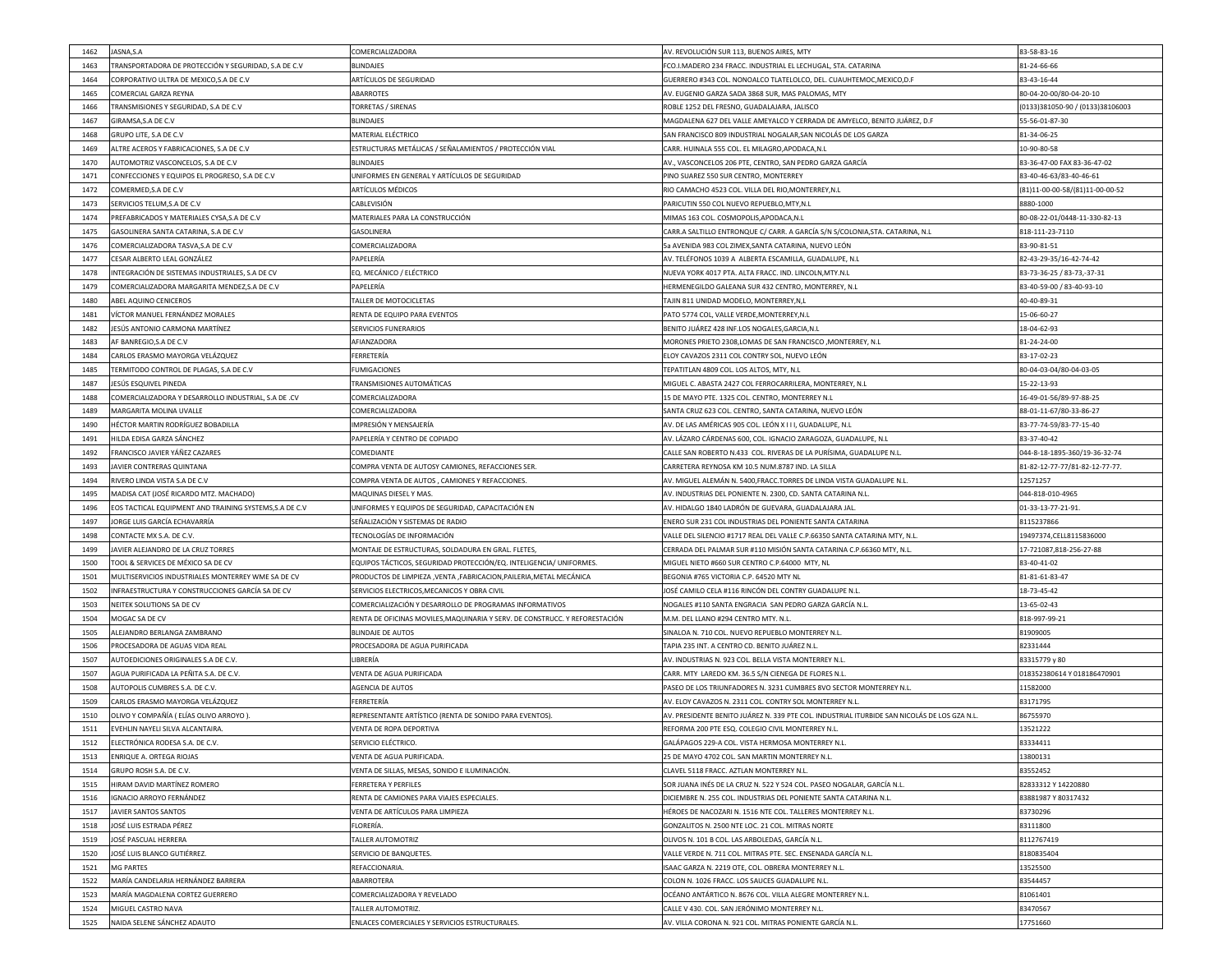| 1462<br>JASNA, S.A                                                    | <b>COMERCIALIZADORA</b>                                                     | AV. REVOLUCIÓN SUR 113, BUENOS AIRES, MTY                                                                  | 83-58-83-16                      |
|-----------------------------------------------------------------------|-----------------------------------------------------------------------------|------------------------------------------------------------------------------------------------------------|----------------------------------|
| TRANSPORTADORA DE PROTECCIÓN Y SEGURIDAD, S.A DE C.V<br>1463          | <b>BLINDAJES</b>                                                            | FCO.I.MADERO 234 FRACC. INDUSTRIAL EL LECHUGAL, STA. CATARINA                                              | 81-24-66-66                      |
| CORPORATIVO ULTRA DE MEXICO, S.A DE C.V<br>1464                       | <b>ARTÍCULOS DE SEGURIDAD</b>                                               | GUERRERO #343 COL. NONOALCO TLATELOLCO, DEL. CUAUHTEMOC, MEXICO, D.F                                       | 83-43-16-44                      |
| <b>COMERCIAL GARZA REYNA</b><br>1465                                  | ABARROTES                                                                   | AV. EUGENIO GARZA SADA 3868 SUR, MAS PALOMAS, MTY                                                          | 80-04-20-00/80-04-20-10          |
| TRANSMISIONES Y SEGURIDAD, S.A DE C.V<br>1466                         | TORRETAS / SIRENAS                                                          | ROBLE 1252 DEL FRESNO, GUADALAJARA, JALISCO                                                                | (0133)381050-90 / (0133)38106003 |
| 1467<br>GIRAMSA, S.A DE C.V                                           | <b>BLINDAJES</b>                                                            | MAGDALENA 627 DEL VALLE AMEYALCO Y CERRADA DE AMYELCO, BENITO JUÁREZ, D.F                                  | 55-56-01-87-30                   |
| 1468<br><b>GRUPO LITE, S.A DE C.V</b>                                 | <b>MATERIAL ELÉCTRICO</b>                                                   | SAN FRANCISCO 809 INDUSTRIAL NOGALAR,SAN NICOLÁS DE LOS GARZA                                              | 81-34-06-25                      |
| ALTRE ACEROS Y FABRICACIONES, S.A DE C.V<br>1469                      | ESTRUCTURAS METÁLICAS / SEÑALAMIENTOS / PROTECCIÓN VIAL                     | CARR. HUINALA 555 COL. EL MILAGRO,APODACA,N.L                                                              | 10-90-80-58                      |
| AUTOMOTRIZ VASCONCELOS, S.A DE C.V<br>1470                            | <b>BLINDAJES</b>                                                            | AV., VASCONCELOS 206 PTE, CENTRO, SAN PEDRO GARZA GARCÍA                                                   | 83-36-47-00 FAX 83-36-47-02      |
| CONFECCIONES Y EQUIPOS EL PROGRESO, S.A DE C.V<br>1471                | UNIFORMES EN GENERAL Y ARTÍCULOS DE SEGURIDAD                               | PINO SUAREZ 550 SUR CENTRO, MONTERREY                                                                      | 83-40-46-63/83-40-46-61          |
| COMERMED, S.A DE C.V<br>1472                                          | <b>ARTÍCULOS MÉDICOS</b>                                                    | RIO CAMACHO 4523 COL. VILLA DEL RIO, MONTERREY, N.L                                                        | (81)11-00-00-58/(81)11-00-00-52  |
| 1473<br>SERVICIOS TELUM, S.A DE C.V                                   | <b>CABLEVISIÓN</b>                                                          | PARICUTIN 550 COL NUEVO REPUEBLO, MTY, N.L                                                                 | 8880-1000                        |
| PREFABRICADOS Y MATERIALES CYSA, S.A DE C.V<br>1474                   | MATERIALES PARA LA CONSTRUCCIÓN                                             | MIMAS 163 COL. COSMOPOLIS, APODACA, N.L                                                                    | 80-08-22-01/0448-11-330-82-13    |
| GASOLINERA SANTA CATARINA, S.A DE C.V<br>1475                         | <b>GASOLINERA</b>                                                           | CARR.A SALTILLO ENTRONQUE C/ CARR. A GARCÍA S/N S/COLONIA, STA. CATARINA, N.L                              | 818-111-23-7110                  |
| COMERCIALIZADORA TASVA, S.A DE C.V<br>1476                            | <b>COMERCIALIZADORA</b>                                                     | 5a AVENIDA 983 COL ZIMEX,SANTA CATARINA, NUEVO LEÓN                                                        | 83-90-81-51                      |
| CESAR ALBERTO LEAL GONZÁLEZ<br>1477                                   | PAPELERÍA                                                                   | AV. TELÉFONOS 1039 A ALBERTA ESCAMILLA, GUADALUPE, N.L                                                     | 82-43-29-35/16-42-74-42          |
| INTEGRACIÓN DE SISTEMAS INDUSTRIALES, S.A DE CV<br>1478               | EQ. MECÁNICO / ELÉCTRICO                                                    | NUEVA YORK 4017 PTA. ALTA FRACC. IND. LINCOLN, MTY.N.L                                                     | 83-73-36-25 / 83-73,-37-31       |
| 1479<br>COMERCIALIZADORA MARGARITA MENDEZ, S.A DE C.V                 | PAPELERÍA                                                                   | HERMENEGILDO GALEANA SUR 432 CENTRO, MONTERREY, N.L                                                        | 83-40-59-00 / 83-40-93-10        |
| ABEL AQUINO CENICEROS<br>1480                                         | TALLER DE MOTOCICLETAS                                                      | TAJIN 811 UNIDAD MODELO, MONTERREY,N,L                                                                     | 40-40-89-31                      |
| VÍCTOR MANUEL FERNÁNDEZ MORALES<br>1481                               | <b>RENTA DE EQUIPO PARA EVENTOS</b>                                         | PATO 5774 COL, VALLE VERDE, MONTERREY, N.L                                                                 | 15-06-60-27                      |
| JESÚS ANTONIO CARMONA MARTÍNEZ<br>1482                                | <b>SERVICIOS FUNERARIOS</b>                                                 | BENITO JUÁREZ 428 INF.LOS NOGALES,GARCIA,N.L                                                               | 18-04-62-93                      |
| AF BANREGIO, S.A DE C.V<br>1483                                       | AFIANZADORA                                                                 | MORONES PRIETO 2308,LOMAS DE SAN FRANCISCO ,MONTERREY, N.L                                                 | 81-24-24-00                      |
| CARLOS ERASMO MAYORGA VELÁZQUEZ<br>1484                               | FERRETERÍA                                                                  | ELOY CAVAZOS 2311 COL CONTRY SOL, NUEVO LEÓN                                                               | 83-17-02-23                      |
| TERMITODO CONTROL DE PLAGAS, S.A DE C.V<br>1485                       | <b>FUMIGACIONES</b>                                                         | TEPATITLAN 4809 COL. LOS ALTOS, MTY, N.L                                                                   | 80-04-03-04/80-04-03-05          |
| 1487<br>JESÚS ESQUIVEL PINEDA                                         | TRANSMISIONES AUTOMÁTICAS                                                   | MIGUEL C. ABASTA 2427 COL FERROCARRILERA, MONTERREY, N.L.                                                  | 15-22-13-93                      |
| COMERCIALIZADORA Y DESARROLLO INDUSTRIAL, S.A DE .CV<br>1488          | <b>COMERCIALIZADORA</b>                                                     | 15 DE MAYO PTE. 1325 COL. CENTRO, MONTERREY N.L                                                            | 16-49-01-56/89-97-88-25          |
| MARGARITA MOLINA UVALLE<br>1489                                       | <b>COMERCIALIZADORA</b>                                                     | SANTA CRUZ 623 COL. CENTRO, SANTA CATARINA, NUEVO LEÓN                                                     | 88-01-11-67/80-33-86-27          |
| HÉCTOR MARTIN RODRÍGUEZ BOBADILLA<br>1490                             | IMPRESIÓN Y MENSAJERÍA                                                      | AV. DE LAS AMÉRICAS 905 COL. LEÓN X I I I, GUADALUPE, N.L                                                  | 83-77-74-59/83-77-15-40          |
| HILDA EDISA GARZA SÁNCHEZ<br>1491                                     | PAPELERÍA Y CENTRO DE COPIADO                                               | AV. LÁZARO CÁRDENAS 600, COL. IGNACIO ZARAGOZA, GUADALUPE, N.L                                             | 83-37-40-42                      |
| FRANCISCO JAVIER YÁÑEZ CAZARES<br>1492                                | <b>COMEDIANTE</b>                                                           | CALLE SAN ROBERTO N.433 COL. RIVERAS DE LA PURÍSIMA, GUADALUPE N.L.                                        | 044-8-18-1895-360/19-36-32-74    |
| JAVIER CONTRERAS QUINTANA<br>1493                                     | COMPRA VENTA DE AUTOSY CAMIONES, REFACCIONES SER.                           | CARRETERA REYNOSA KM 10.5 NUM.8787 IND. LA SILLA                                                           | 81-82-12-77-77/81-82-12-77-77.   |
|                                                                       |                                                                             |                                                                                                            |                                  |
| RIVERO LINDA VISTA S.A DE C.V<br>1494                                 | COMPRA VENTA DE AUTOS, CAMIONES Y REFACCIONES.                              | AV. MIGUEL ALEMÁN N. 5400,FRACC.TORRES DE LINDA VISTA GUADALUPE N.L.                                       | 12571257                         |
| MADISA CAT (JOSÉ RICARDO MTZ. MACHADO)<br>1495                        | MAQUINAS DIESEL Y MAS.                                                      | AV. INDUSTRIAS DEL PONIENTE N. 2300, CD. SANTA CATARINA N.L.                                               | 044-818-010-4965                 |
| EOS TACTICAL EQUIPMENT AND TRAINING SYSTEMS, S.A DE C.V<br>1496       | UNIFORMES Y EQUIPOS DE SEGURIDAD, CAPACITACIÓN EN                           | AV. HIDALGO 1840 LADRÓN DE GUEVARA, GUADALAJARA JAL.                                                       | 01-33-13-77-21-91.               |
| JORGE LUIS GARCÍA ECHAVARRÍA<br>1497                                  | SEÑALIZACIÓN Y SISTEMAS DE RADIO                                            | ENERO SUR 231 COL INDUSTRIAS DEL PONIENTE SANTA CATARINA                                                   | 8115237866                       |
| CONTACTE MX S.A. DE C.V.<br>1498                                      | TECNOLOGÍAS DE INFORMACIÓN                                                  | VALLE DEL SILENCIO #1717 REAL DEL VALLE C.P.66350 SANTA CATARINA MTY, N.L.                                 | 19497374, CELL8115836000         |
| JAVIER ALEJANDRO DE LA CRUZ TORRES<br>1499                            | MONTAJE DE ESTRUCTURAS, SOLDADURA EN GRAL. FLETES,                          | CERRADA DEL PALMAR SUR #110 MISIÓN SANTA CATARINA C.P.66360 MTY, N.L.                                      | 17-721087,818-256-27-88          |
| TOOL & SERVICES DE MÉXICO SA DE CV<br>1500                            | EQUIPOS TÁCTICOS, SEGURIDAD PROTECCIÓN/EQ. INTELIGENCIA/ UNIFORMES.         | MIGUEL NIETO #660 SUR CENTRO C.P.64000 MTY, NL                                                             | 83-40-41-02                      |
| MULTISERVICIOS INDUSTRIALES MONTERREY WME SA DE CV<br>1501            | PRODUCTOS DE LIMPIEZA , VENTA , FABRICACION, PAILERIA, METAL MECÁNICA       | BEGONIA #765 VICTORIA C.P. 64520 MTY NL                                                                    | 81-81-61-83-47                   |
| INFRAESTRUCTURA Y CONSTRUCCIONES GARCÍA SA DE CV<br>1502              | SERVICIOS ELECTRICOS, MECANICOS Y OBRA CIVIL                                | JOSÉ CAMILO CELA #116 RINCÓN DEL CONTRY GUADALUPE N.L.                                                     | 18-73-45-42                      |
| NEITEK SOLUTIONS SA DE CV<br>1503                                     | COMERCIALIZACIÓN Y DESARROLLO DE PROGRAMAS INFORMATIVOS                     | NOGALES #110 SANTA ENGRACIA SAN PEDRO GARZA GARCÍA N.L.                                                    | 13-65-02-43                      |
| 1504<br>MOGAC SA DE CV                                                | RENTA DE OFICINAS MOVILES, MAQUINARIA Y SERV. DE CONSTRUCC. Y REFORESTACIÓN | M.M. DEL LLANO #294 CENTRO MTY. N.L.                                                                       | 818-997-99-21                    |
| ALEJANDRO BERLANGA ZAMBRANO<br>1505                                   | <b>BLINDAJE DE AUTOS</b>                                                    | SINALOA N. 710 COL. NUEVO REPUEBLO MONTERREY N.L.                                                          | 81909005                         |
| PROCESADORA DE AGUAS VIDA REAL<br>1506                                | <b>PROCESADORA DE AGUA PURIFICADA</b>                                       | TAPIA 235 INT. A CENTRO CD. BENITO JUÁREZ N.L.                                                             | 82331444                         |
| 1507<br>AUTOEDICIONES ORIGINALES S.A DE C.V.                          | <b>LIBRERÍA</b>                                                             | AV. INDUSTRIAS N. 923 COL. BELLA VISTA MONTERREY N.L.                                                      | 83315779 y 80                    |
| AGUA PURIFICADA LA PEÑITA S.A. DE C.V.                                | <b>VENTA DE AGUA PURIFICADA</b>                                             | CARR. MTY LAREDO KM. 36.5 S/N CIENEGA DE FLORES N.L.                                                       | 018352380614 Y 018186470901      |
| AUTOPOLIS CUMBRES S.A. DE C.V.<br>1508                                | <b>AGENCIA DE AUTOS</b>                                                     | PASEO DE LOS TRIUNFADORES N. 3231 CUMBRES 8VO SECTOR MONTERREY N.L.                                        | 11582000                         |
| CARLOS ERASMO MAYORGA VELÁZQUEZ<br>1509                               | FERRETERÍA                                                                  | AV. ELOY CAVAZOS N. 2311 COL. CONTRY SOL MONTERREY N.L.                                                    | 83171795                         |
| OLIVO Y COMPAÑÍA (ELÍAS OLIVO ARROYO).<br>1510                        | REPRESENTANTE ARTÍSTICO (RENTA DE SONIDO PARA EVENTOS).                     | AV. PRESIDENTE BENITO JUÁREZ N. 339 PTE COL. INDUSTRIAL ITURBIDE SAN NICOLÁS DE LOS GZA N.L.               | 86755970                         |
| EVEHLIN NAYELI SILVA ALCANTAIRA.<br>1511                              | VENTA DE ROPA DEPORTIVA                                                     | REFORMA 200 PTE ESQ. COLEGIO CIVIL MONTERREY N.L.                                                          | 13521222                         |
| ELECTRÓNICA RODESA S.A. DE C.V.<br>1512                               | SERVICIO ELÉCTRICO.                                                         | GALÁPAGOS 229-A COL. VISTA HERMOSA MONTERREY N.L.                                                          | 83334411                         |
| 1513<br>ENRIQUE A. ORTEGA RIOJAS                                      | VENTA DE AGUA PURIFICADA.                                                   | 25 DE MAYO 4702 COL. SAN MARTIN MONTERREY N.L.                                                             | 13800131                         |
| GRUPO ROSH S.A. DE C.V.<br>1514                                       | VENTA DE SILLAS, MESAS, SONIDO E ILUMINACIÓN.                               | CLAVEL 5118 FRACC. AZTLAN MONTERREY N.L.                                                                   | 83552452                         |
| HIRAM DAVID MARTÍNEZ ROMERO<br>1515                                   | <b>FERRETERA Y PERFILES</b>                                                 | SOR JUANA INÉS DE LA CRUZ N. 522 Y 524 COL. PASEO NOGALAR, GARCÍA N.L.                                     | 82833312 Y 14220880              |
| IGNACIO ARROYO FERNÁNDEZ<br>1516                                      | RENTA DE CAMIONES PARA VIAJES ESPECIALES.                                   | DICIEMBRE N. 255 COL. INDUSTRIAS DEL PONIENTE SANTA CATARINA N.L.                                          | 83881987 Y 80317432              |
| 1517<br>JAVIER SANTOS SANTOS                                          | VENTA DE ARTÍCULOS PARA LIMPIEZA                                            | HÉROES DE NACOZARI N. 1516 NTE COL. TALLERES MONTERREY N.L.                                                | 83730296                         |
| JOSÉ LUIS ESTRADA PÉREZ<br>1518                                       | FLORERÍA.                                                                   | GONZALITOS N. 2500 NTE LOC. 21 COL. MITRAS NORTE                                                           | 83111800                         |
| <b>JOSÉ PASCUAL HERRERA</b><br>1519                                   | TALLER AUTOMOTRIZ                                                           | OLIVOS N. 101 B COL. LAS ARBOLEDAS, GARCÍA N.L.                                                            | 8112767419                       |
| JOSÉ LUIS BLANCO GUTIÉRREZ.<br>1520                                   | SERVICIO DE BANQUETES.                                                      | VALLE VERDE N. 711 COL. MITRAS PTE. SEC. ENSENADA GARCÍA N.L.                                              | 8180835404                       |
| <b>MG PARTES</b><br>1521                                              | REFACCIONARIA.                                                              | ISAAC GARZA N. 2219 OTE, COL. OBRERA MONTERREY N.L.                                                        | 13525500                         |
| MARÍA CANDELARIA HERNÁNDEZ BARRERA<br>1522                            | ABARROTERA                                                                  | COLON N. 1026 FRACC. LOS SAUCES GUADALUPE N.L.                                                             | 83544457                         |
| MARÍA MAGDALENA CORTEZ GUERRERO<br>1523<br>MIGUEL CASTRO NAVA<br>1524 | COMERCIALIZADORA Y REVELADO<br>TALLER AUTOMOTRIZ.                           | OCÉANO ANTÁRTICO N. 8676 COL. VILLA ALEGRE MONTERREY N.L.<br>CALLE V 430. COL. SAN JERÓNIMO MONTERREY N.L. | 81061401<br>83470567             |